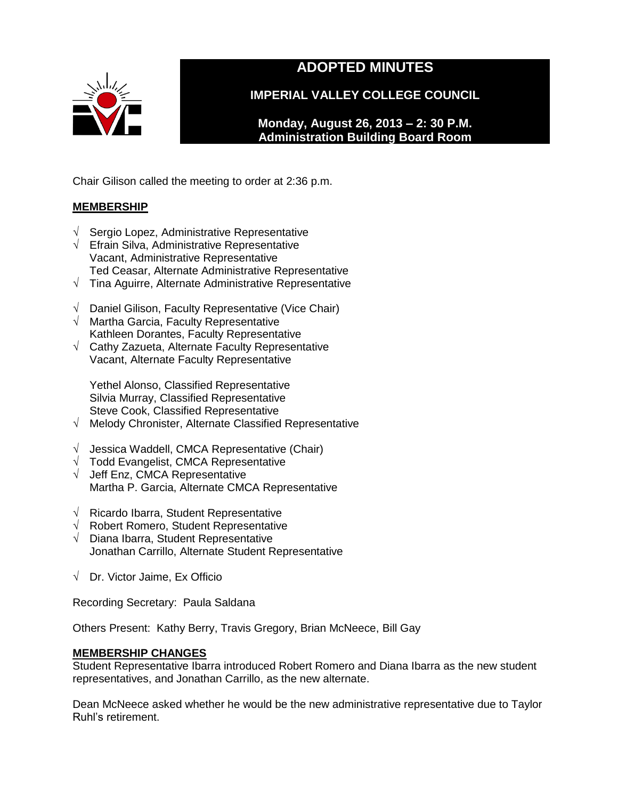

# **ADOPTED MINUTES**

**IMPERIAL VALLEY COLLEGE COUNCIL**

**Monday, August 26, 2013 – 2: 30 P.M. Administration Building Board Room** 

Chair Gilison called the meeting to order at 2:36 p.m.

## **MEMBERSHIP**

- √ Sergio Lopez, Administrative Representative
- √ Efrain Silva, Administrative Representative Vacant, Administrative Representative Ted Ceasar, Alternate Administrative Representative
- √ Tina Aguirre, Alternate Administrative Representative
- √ Daniel Gilison, Faculty Representative (Vice Chair)
- √ Martha Garcia, Faculty Representative Kathleen Dorantes, Faculty Representative
- √ Cathy Zazueta, Alternate Faculty Representative Vacant, Alternate Faculty Representative

Yethel Alonso, Classified Representative Silvia Murray, Classified Representative Steve Cook, Classified Representative

- √ Melody Chronister, Alternate Classified Representative
- √ Jessica Waddell, CMCA Representative (Chair)
- $\sqrt{\phantom{a}}$  Todd Evangelist, CMCA Representative
- √ Jeff Enz, CMCA Representative Martha P. Garcia, Alternate CMCA Representative
- √ Ricardo Ibarra, Student Representative
- √ Robert Romero, Student Representative
- √ Diana Ibarra, Student Representative Jonathan Carrillo, Alternate Student Representative
- √ Dr. Victor Jaime, Ex Officio

Recording Secretary: Paula Saldana

Others Present: Kathy Berry, Travis Gregory, Brian McNeece, Bill Gay

## **MEMBERSHIP CHANGES**

Student Representative Ibarra introduced Robert Romero and Diana Ibarra as the new student representatives, and Jonathan Carrillo, as the new alternate.

Dean McNeece asked whether he would be the new administrative representative due to Taylor Ruhl's retirement.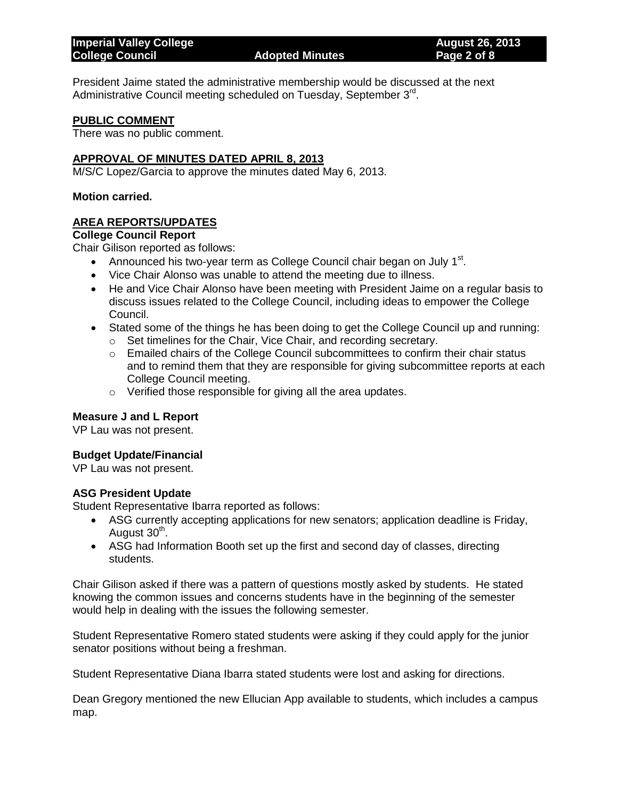## **College Council Adopted Minutes Page 2 of 8**

President Jaime stated the administrative membership would be discussed at the next Administrative Council meeting scheduled on Tuesday, September 3<sup>rd</sup>.

## **PUBLIC COMMENT**

There was no public comment.

## **APPROVAL OF MINUTES DATED APRIL 8, 2013**

M/S/C Lopez/Garcia to approve the minutes dated May 6, 2013.

#### **Motion carried.**

## **AREA REPORTS/UPDATES**

## **College Council Report**

Chair Gilison reported as follows:

- Announced his two-year term as College Council chair began on July  $1<sup>st</sup>$ .
- Vice Chair Alonso was unable to attend the meeting due to illness.
- He and Vice Chair Alonso have been meeting with President Jaime on a regular basis to discuss issues related to the College Council, including ideas to empower the College Council.
- Stated some of the things he has been doing to get the College Council up and running:
	- o Set timelines for the Chair, Vice Chair, and recording secretary.
	- $\circ$  Emailed chairs of the College Council subcommittees to confirm their chair status and to remind them that they are responsible for giving subcommittee reports at each College Council meeting.
	- o Verified those responsible for giving all the area updates.

## **Measure J and L Report**

VP Lau was not present.

## **Budget Update/Financial**

VP Lau was not present.

## **ASG President Update**

Student Representative Ibarra reported as follows:

- ASG currently accepting applications for new senators; application deadline is Friday, August 30<sup>th</sup>.
- ASG had Information Booth set up the first and second day of classes, directing students.

Chair Gilison asked if there was a pattern of questions mostly asked by students. He stated knowing the common issues and concerns students have in the beginning of the semester would help in dealing with the issues the following semester.

Student Representative Romero stated students were asking if they could apply for the junior senator positions without being a freshman.

Student Representative Diana Ibarra stated students were lost and asking for directions.

Dean Gregory mentioned the new Ellucian App available to students, which includes a campus map.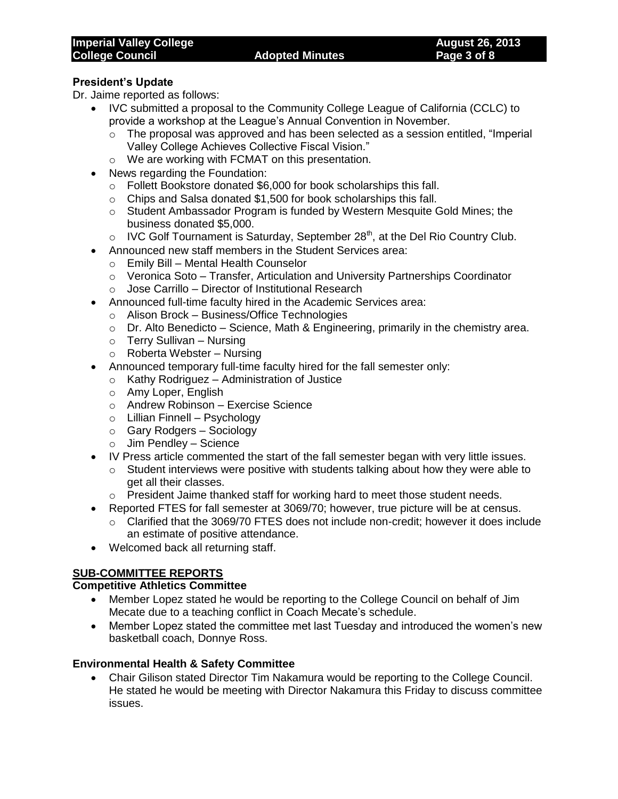## **President's Update**

Dr. Jaime reported as follows:

- IVC submitted a proposal to the Community College League of California (CCLC) to provide a workshop at the League's Annual Convention in November.
	- $\circ$  The proposal was approved and has been selected as a session entitled, "Imperial Valley College Achieves Collective Fiscal Vision."
	- o We are working with FCMAT on this presentation.
- News regarding the Foundation:
	- o Follett Bookstore donated \$6,000 for book scholarships this fall.
	- $\circ$  Chips and Salsa donated \$1,500 for book scholarships this fall.
	- o Student Ambassador Program is funded by Western Mesquite Gold Mines; the business donated \$5,000.
	- $\circ$  IVC Golf Tournament is Saturday, September 28<sup>th</sup>, at the Del Rio Country Club.
- Announced new staff members in the Student Services area:
	- o Emily Bill Mental Health Counselor
	- $\circ$  Veronica Soto Transfer, Articulation and University Partnerships Coordinator
	- o Jose Carrillo Director of Institutional Research
- Announced full-time faculty hired in the Academic Services area:
	- o Alison Brock Business/Office Technologies
	- $\circ$  Dr. Alto Benedicto Science, Math & Engineering, primarily in the chemistry area.
	- o Terry Sullivan Nursing
	- o Roberta Webster Nursing
- Announced temporary full-time faculty hired for the fall semester only:
	- o Kathy Rodriguez Administration of Justice
	- o Amy Loper, English
	- o Andrew Robinson Exercise Science
	- o Lillian Finnell Psychology
	- o Gary Rodgers Sociology
	- o Jim Pendley Science
- IV Press article commented the start of the fall semester began with very little issues.
	- $\circ$  Student interviews were positive with students talking about how they were able to get all their classes.
	- o President Jaime thanked staff for working hard to meet those student needs.
- Reported FTES for fall semester at 3069/70; however, true picture will be at census.
	- $\circ$  Clarified that the 3069/70 FTES does not include non-credit; however it does include an estimate of positive attendance.
- Welcomed back all returning staff.

## **SUB-COMMITTEE REPORTS**

## **Competitive Athletics Committee**

- Member Lopez stated he would be reporting to the College Council on behalf of Jim Mecate due to a teaching conflict in Coach Mecate's schedule.
- Member Lopez stated the committee met last Tuesday and introduced the women's new basketball coach, Donnye Ross.

## **Environmental Health & Safety Committee**

 Chair Gilison stated Director Tim Nakamura would be reporting to the College Council. He stated he would be meeting with Director Nakamura this Friday to discuss committee issues.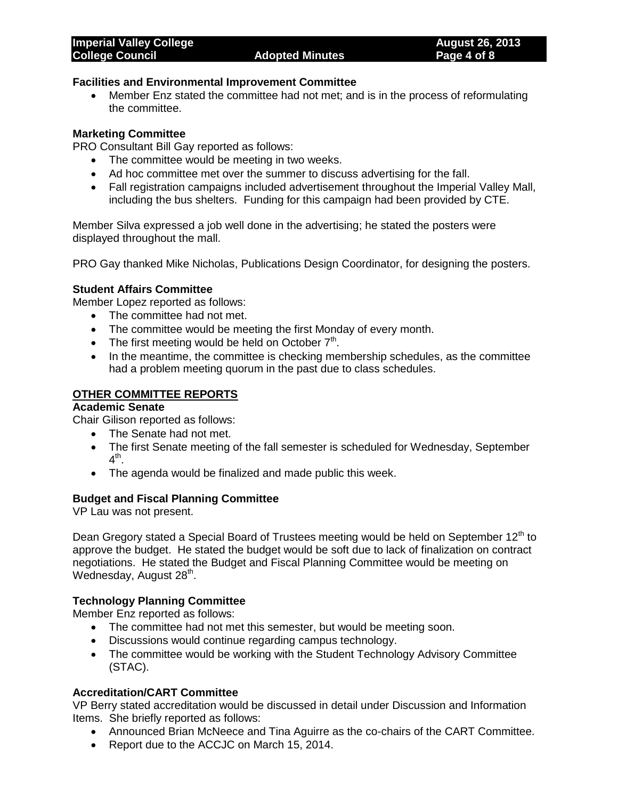## **Facilities and Environmental Improvement Committee**

 Member Enz stated the committee had not met; and is in the process of reformulating the committee.

## **Marketing Committee**

PRO Consultant Bill Gay reported as follows:

- The committee would be meeting in two weeks.
- Ad hoc committee met over the summer to discuss advertising for the fall.
- Fall registration campaigns included advertisement throughout the Imperial Valley Mall, including the bus shelters. Funding for this campaign had been provided by CTE.

Member Silva expressed a job well done in the advertising; he stated the posters were displayed throughout the mall.

PRO Gay thanked Mike Nicholas, Publications Design Coordinator, for designing the posters.

## **Student Affairs Committee**

Member Lopez reported as follows:

- The committee had not met.
- The committee would be meeting the first Monday of every month.
- The first meeting would be held on October  $7<sup>th</sup>$ .
- In the meantime, the committee is checking membership schedules, as the committee had a problem meeting quorum in the past due to class schedules.

## **OTHER COMMITTEE REPORTS**

## **Academic Senate**

Chair Gilison reported as follows:

- The Senate had not met.
- The first Senate meeting of the fall semester is scheduled for Wednesday, September 4<sup>th</sup>.
- The agenda would be finalized and made public this week.

## **Budget and Fiscal Planning Committee**

VP Lau was not present.

Dean Gregory stated a Special Board of Trustees meeting would be held on September  $12<sup>th</sup>$  to approve the budget. He stated the budget would be soft due to lack of finalization on contract negotiations. He stated the Budget and Fiscal Planning Committee would be meeting on Wednesday, August 28<sup>th</sup>.

## **Technology Planning Committee**

Member Enz reported as follows:

- The committee had not met this semester, but would be meeting soon.
- Discussions would continue regarding campus technology.
- The committee would be working with the Student Technology Advisory Committee (STAC).

## **Accreditation/CART Committee**

VP Berry stated accreditation would be discussed in detail under Discussion and Information Items. She briefly reported as follows:

- Announced Brian McNeece and Tina Aguirre as the co-chairs of the CART Committee.
- Report due to the ACCJC on March 15, 2014.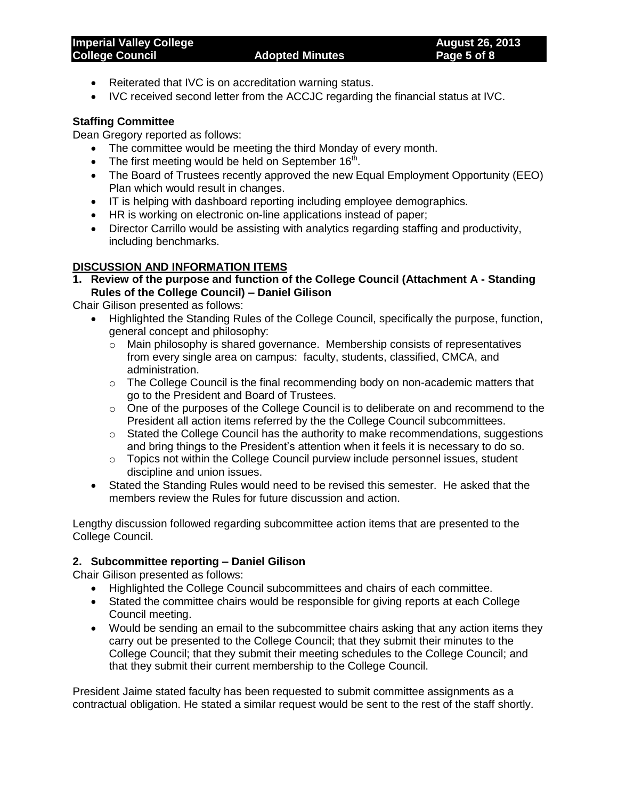- Reiterated that IVC is on accreditation warning status.
- IVC received second letter from the ACCJC regarding the financial status at IVC.

## **Staffing Committee**

Dean Gregory reported as follows:

- The committee would be meeting the third Monday of every month.
- The first meeting would be held on September  $16<sup>th</sup>$ .
- The Board of Trustees recently approved the new Equal Employment Opportunity (EEO) Plan which would result in changes.
- IT is helping with dashboard reporting including employee demographics.
- HR is working on electronic on-line applications instead of paper;
- Director Carrillo would be assisting with analytics regarding staffing and productivity, including benchmarks.

## **DISCUSSION AND INFORMATION ITEMS**

**1. Review of the purpose and function of the College Council (Attachment A - Standing Rules of the College Council) – Daniel Gilison**

Chair Gilison presented as follows:

- Highlighted the Standing Rules of the College Council, specifically the purpose, function, general concept and philosophy:
	- $\circ$  Main philosophy is shared governance. Membership consists of representatives from every single area on campus: faculty, students, classified, CMCA, and administration.
	- o The College Council is the final recommending body on non-academic matters that go to the President and Board of Trustees.
	- o One of the purposes of the College Council is to deliberate on and recommend to the President all action items referred by the the College Council subcommittees.
	- o Stated the College Council has the authority to make recommendations, suggestions and bring things to the President's attention when it feels it is necessary to do so.
	- $\circ$  Topics not within the College Council purview include personnel issues, student discipline and union issues.
- Stated the Standing Rules would need to be revised this semester. He asked that the members review the Rules for future discussion and action.

Lengthy discussion followed regarding subcommittee action items that are presented to the College Council.

## **2. Subcommittee reporting – Daniel Gilison**

Chair Gilison presented as follows:

- Highlighted the College Council subcommittees and chairs of each committee.
- Stated the committee chairs would be responsible for giving reports at each College Council meeting.
- Would be sending an email to the subcommittee chairs asking that any action items they carry out be presented to the College Council; that they submit their minutes to the College Council; that they submit their meeting schedules to the College Council; and that they submit their current membership to the College Council.

President Jaime stated faculty has been requested to submit committee assignments as a contractual obligation. He stated a similar request would be sent to the rest of the staff shortly.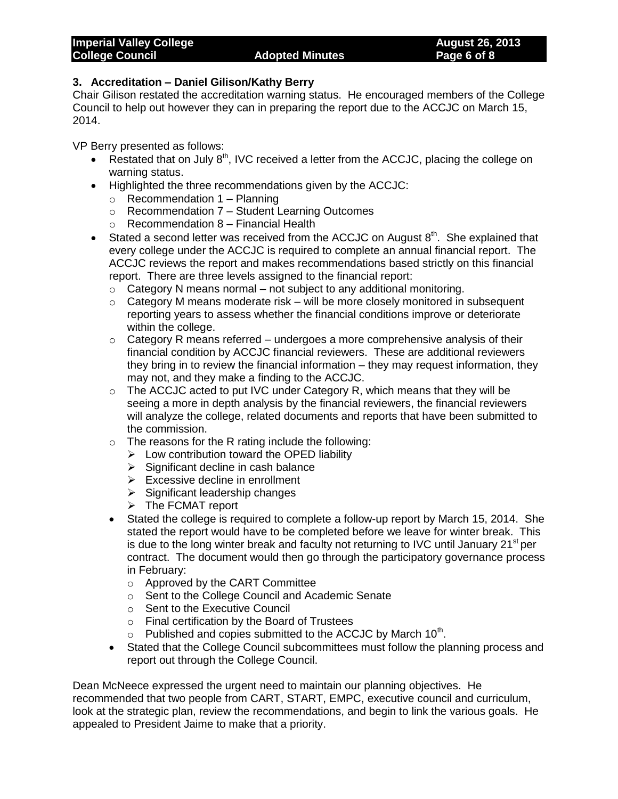## **3. Accreditation – Daniel Gilison/Kathy Berry**

Chair Gilison restated the accreditation warning status. He encouraged members of the College Council to help out however they can in preparing the report due to the ACCJC on March 15, 2014.

VP Berry presented as follows:

- Restated that on July  $8<sup>th</sup>$ , IVC received a letter from the ACCJC, placing the college on warning status.
- Highlighted the three recommendations given by the ACCJC:
	- $\circ$  Recommendation 1 Planning
	- o Recommendation 7 Student Learning Outcomes
	- o Recommendation 8 Financial Health
- Stated a second letter was received from the ACCJC on August  $8<sup>th</sup>$ . She explained that every college under the ACCJC is required to complete an annual financial report. The ACCJC reviews the report and makes recommendations based strictly on this financial report. There are three levels assigned to the financial report:
	- $\circ$  Category N means normal not subject to any additional monitoring.
	- $\circ$  Category M means moderate risk will be more closely monitored in subsequent reporting years to assess whether the financial conditions improve or deteriorate within the college.
	- $\circ$  Category R means referred undergoes a more comprehensive analysis of their financial condition by ACCJC financial reviewers. These are additional reviewers they bring in to review the financial information – they may request information, they may not, and they make a finding to the ACCJC.
	- $\circ$  The ACCJC acted to put IVC under Category R, which means that they will be seeing a more in depth analysis by the financial reviewers, the financial reviewers will analyze the college, related documents and reports that have been submitted to the commission.
	- $\circ$  The reasons for the R rating include the following:
		- $\triangleright$  Low contribution toward the OPED liability
		- $\triangleright$  Significant decline in cash balance
		- $\triangleright$  Excessive decline in enrollment
		- $\triangleright$  Significant leadership changes
		- > The FCMAT report
	- Stated the college is required to complete a follow-up report by March 15, 2014. She stated the report would have to be completed before we leave for winter break. This is due to the long winter break and faculty not returning to IVC until January  $21<sup>st</sup>$  per contract. The document would then go through the participatory governance process in February:
		- o Approved by the CART Committee
		- o Sent to the College Council and Academic Senate
		- o Sent to the Executive Council
		- o Final certification by the Board of Trustees
		- $\circ$  Published and copies submitted to the ACCJC by March 10<sup>th</sup>.
	- Stated that the College Council subcommittees must follow the planning process and report out through the College Council.

Dean McNeece expressed the urgent need to maintain our planning objectives. He recommended that two people from CART, START, EMPC, executive council and curriculum, look at the strategic plan, review the recommendations, and begin to link the various goals. He appealed to President Jaime to make that a priority.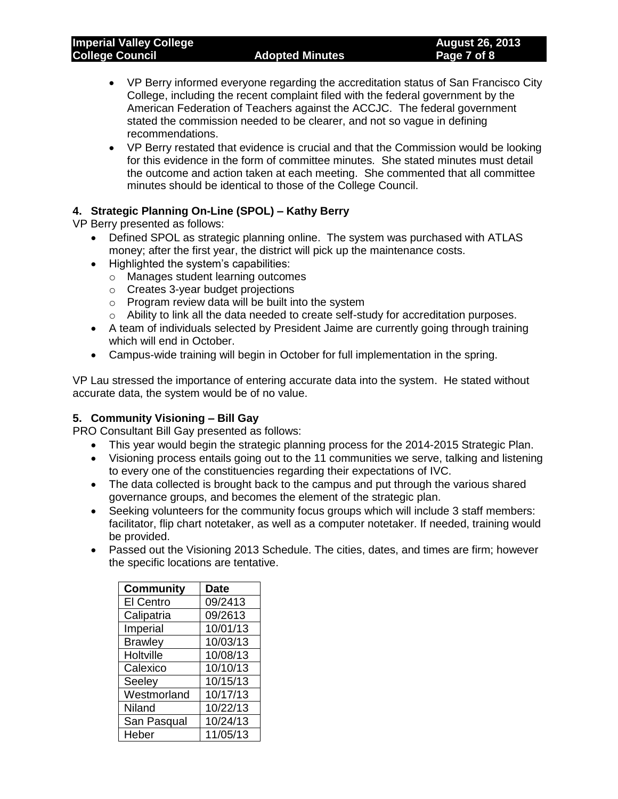- VP Berry informed everyone regarding the accreditation status of San Francisco City College, including the recent complaint filed with the federal government by the American Federation of Teachers against the ACCJC. The federal government stated the commission needed to be clearer, and not so vague in defining recommendations.
- VP Berry restated that evidence is crucial and that the Commission would be looking for this evidence in the form of committee minutes. She stated minutes must detail the outcome and action taken at each meeting. She commented that all committee minutes should be identical to those of the College Council.

## **4. Strategic Planning On-Line (SPOL) – Kathy Berry**

VP Berry presented as follows:

- Defined SPOL as strategic planning online. The system was purchased with ATLAS money; after the first year, the district will pick up the maintenance costs.
- Highlighted the system's capabilities:
	- o Manages student learning outcomes
	- o Creates 3-year budget projections
	- o Program review data will be built into the system
	- o Ability to link all the data needed to create self-study for accreditation purposes.
- A team of individuals selected by President Jaime are currently going through training which will end in October.
- Campus-wide training will begin in October for full implementation in the spring.

VP Lau stressed the importance of entering accurate data into the system. He stated without accurate data, the system would be of no value.

## **5. Community Visioning – Bill Gay**

PRO Consultant Bill Gay presented as follows:

- This year would begin the strategic planning process for the 2014-2015 Strategic Plan.
- Visioning process entails going out to the 11 communities we serve, talking and listening to every one of the constituencies regarding their expectations of IVC.
- The data collected is brought back to the campus and put through the various shared governance groups, and becomes the element of the strategic plan.
- Seeking volunteers for the community focus groups which will include 3 staff members: facilitator, flip chart notetaker, as well as a computer notetaker. If needed, training would be provided.
- Passed out the Visioning 2013 Schedule. The cities, dates, and times are firm; however the specific locations are tentative.

| <b>Community</b> | <b>Date</b> |
|------------------|-------------|
| <b>El Centro</b> | 09/2413     |
| Calipatria       | 09/2613     |
| Imperial         | 10/01/13    |
| <b>Brawley</b>   | 10/03/13    |
| Holtville        | 10/08/13    |
| Calexico         | 10/10/13    |
| Seeley           | 10/15/13    |
| Westmorland      | 10/17/13    |
| Niland           | 10/22/13    |
| San Pasqual      | 10/24/13    |
| Heber            | 11/05/13    |